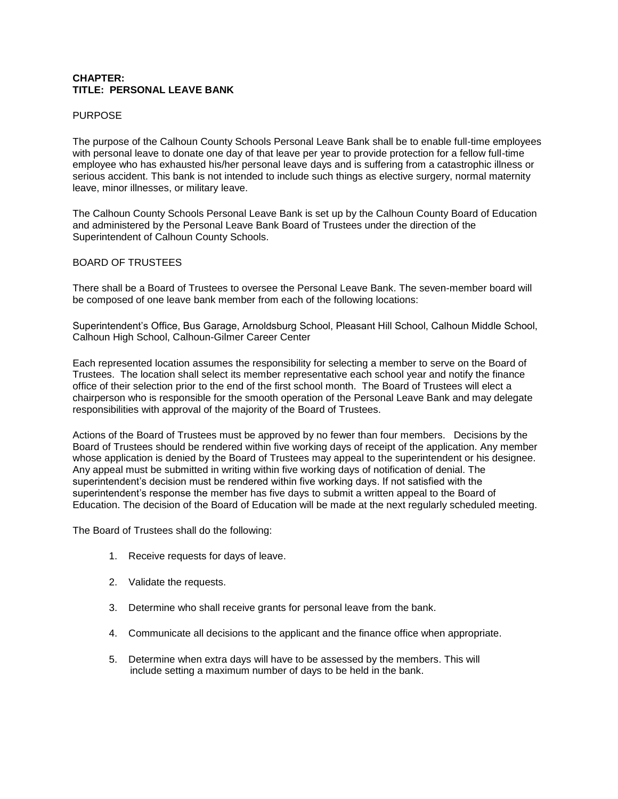### **CHAPTER: TITLE: PERSONAL LEAVE BANK**

#### PURPOSE

The purpose of the Calhoun County Schools Personal Leave Bank shall be to enable full-time employees with personal leave to donate one day of that leave per year to provide protection for a fellow full-time employee who has exhausted his/her personal leave days and is suffering from a catastrophic illness or serious accident. This bank is not intended to include such things as elective surgery, normal maternity leave, minor illnesses, or military leave.

The Calhoun County Schools Personal Leave Bank is set up by the Calhoun County Board of Education and administered by the Personal Leave Bank Board of Trustees under the direction of the Superintendent of Calhoun County Schools.

#### BOARD OF TRUSTEES

There shall be a Board of Trustees to oversee the Personal Leave Bank. The seven-member board will be composed of one leave bank member from each of the following locations:

Superintendent's Office, Bus Garage, Arnoldsburg School, Pleasant Hill School, Calhoun Middle School, Calhoun High School, Calhoun-Gilmer Career Center

Each represented location assumes the responsibility for selecting a member to serve on the Board of Trustees. The location shall select its member representative each school year and notify the finance office of their selection prior to the end of the first school month. The Board of Trustees will elect a chairperson who is responsible for the smooth operation of the Personal Leave Bank and may delegate responsibilities with approval of the majority of the Board of Trustees.

Actions of the Board of Trustees must be approved by no fewer than four members. Decisions by the Board of Trustees should be rendered within five working days of receipt of the application. Any member whose application is denied by the Board of Trustees may appeal to the superintendent or his designee. Any appeal must be submitted in writing within five working days of notification of denial. The superintendent's decision must be rendered within five working days. If not satisfied with the superintendent's response the member has five days to submit a written appeal to the Board of Education. The decision of the Board of Education will be made at the next regularly scheduled meeting.

The Board of Trustees shall do the following:

- 1. Receive requests for days of leave.
- 2. Validate the requests.
- 3. Determine who shall receive grants for personal leave from the bank.
- 4. Communicate all decisions to the applicant and the finance office when appropriate.
- 5. Determine when extra days will have to be assessed by the members. This will include setting a maximum number of days to be held in the bank.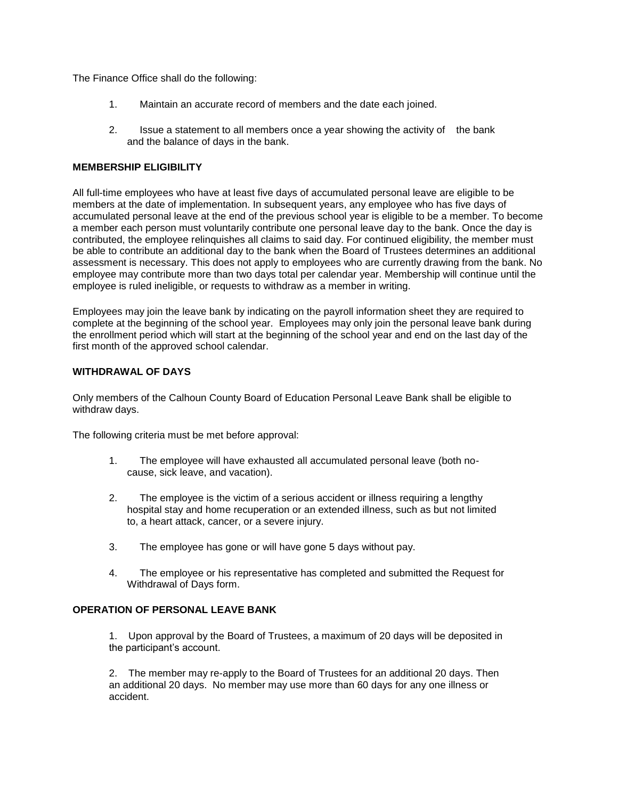The Finance Office shall do the following:

- 1. Maintain an accurate record of members and the date each joined.
- 2. Issue a statement to all members once a year showing the activity of the bank and the balance of days in the bank.

## **MEMBERSHIP ELIGIBILITY**

All full-time employees who have at least five days of accumulated personal leave are eligible to be members at the date of implementation. In subsequent years, any employee who has five days of accumulated personal leave at the end of the previous school year is eligible to be a member. To become a member each person must voluntarily contribute one personal leave day to the bank. Once the day is contributed, the employee relinquishes all claims to said day. For continued eligibility, the member must be able to contribute an additional day to the bank when the Board of Trustees determines an additional assessment is necessary. This does not apply to employees who are currently drawing from the bank. No employee may contribute more than two days total per calendar year. Membership will continue until the employee is ruled ineligible, or requests to withdraw as a member in writing.

Employees may join the leave bank by indicating on the payroll information sheet they are required to complete at the beginning of the school year.Employees may only join the personal leave bank during the enrollment period which will start at the beginning of the school year and end on the last day of the first month of the approved school calendar.

## **WITHDRAWAL OF DAYS**

Only members of the Calhoun County Board of Education Personal Leave Bank shall be eligible to withdraw days.

The following criteria must be met before approval:

- 1. The employee will have exhausted all accumulated personal leave (both nocause, sick leave, and vacation).
- 2. The employee is the victim of a serious accident or illness requiring a lengthy hospital stay and home recuperation or an extended illness, such as but not limited to, a heart attack, cancer, or a severe injury.
- 3. The employee has gone or will have gone 5 days without pay.
- 4. The employee or his representative has completed and submitted the Request for Withdrawal of Days form.

# **OPERATION OF PERSONAL LEAVE BANK**

1. Upon approval by the Board of Trustees, a maximum of 20 days will be deposited in the participant's account.

2. The member may re-apply to the Board of Trustees for an additional 20 days. Then an additional 20 days. No member may use more than 60 days for any one illness or accident.